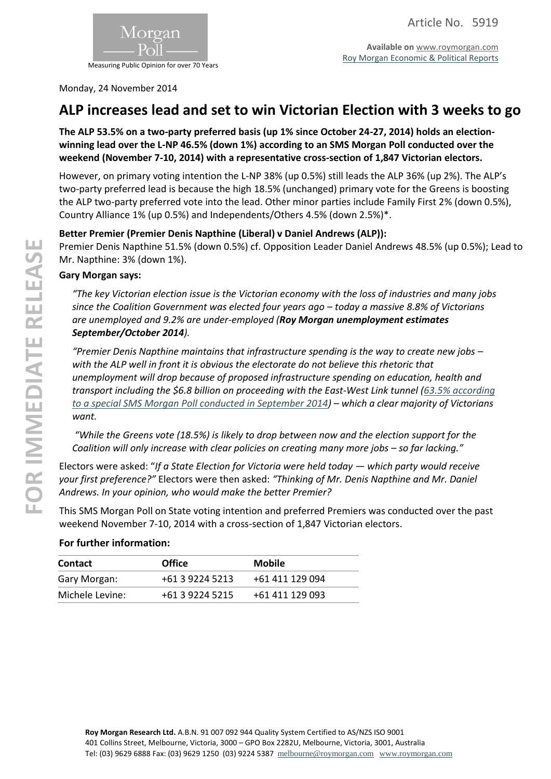

Measuring Public Opinion for over 70 Years

Morgan

Monday, 24 November 2014

# **ALP increases lead and set to win Victorian Election with 3 weeks to go**

**The ALP 53.5% on a two-party preferred basis (up 1% since October 24-27, 2014) holds an electionwinning lead over the L-NP 46.5% (down 1%) according to an SMS Morgan Poll conducted over the weekend (November 7-10, 2014) with a representative cross-section of 1,847 Victorian electors.**

However, on primary voting intention the L-NP 38% (up 0.5%) still leads the ALP 36% (up 2%). The ALP's two-party preferred lead is because the high 18.5% (unchanged) primary vote for the Greens is boosting the ALP two-party preferred vote into the lead. Other minor parties include Family First 2% (down 0.5%), Country Alliance 1% (up 0.5%) and Independents/Others 4.5% (down 2.5%)\*.

#### **Better Premier (Premier Denis Napthine (Liberal) v Daniel Andrews (ALP)):**

Premier Denis Napthine 51.5% (down 0.5%) cf. Opposition Leader Daniel Andrews 48.5% (up 0.5%); Lead to Mr. Napthine: 3% (down 1%).

#### **Gary Morgan says:**

*"The key Victorian election issue is the Victorian economy with the loss of industries and many jobs since the Coalition Government was elected four years ago – today a massive 8.8% of Victorians are unemployed and 9.2% are under-employed (Roy Morgan unemployment estimates September/October 2014).*

*"Premier Denis Napthine maintains that infrastructure spending is the way to create new jobs – with the ALP well in front it is obvious the electorate do not believe this rhetoric that unemployment will drop because of proposed infrastructure spending on education, health and transport including the \$6.8 billion on proceeding with the East-West Link tunnel (63.5% according [to a special SMS Morgan Poll conducted in September 2014\)](http://www.roymorgan.com/findings/5798-sms-morgan-poll-east-west-link-201409120610) – which a clear majority of Victorians want.*

"While the Greens vote (18.5%) is likely to drop between now and the election support for the *Coalition will only increase with clear policies on creating many more jobs – so far lacking."* 

Electors were asked: "*If a State Election for Victoria were held today — which party would receive your first preference?"* Electors were then asked: *"Thinking of Mr. Denis Napthine and Mr. Daniel Andrews. In your opinion, who would make the better Premier?*

This SMS Morgan Poll on State voting intention and preferred Premiers was conducted over the past weekend November 7-10, 2014 with a cross-section of 1,847 Victorian electors.

#### **For further information:**

| <b>Contact</b>  | <b>Office</b>   | Mobile          |  |
|-----------------|-----------------|-----------------|--|
| Gary Morgan:    | +61 3 9224 5213 | +61 411 129 094 |  |
| Michele Levine: | +61 3 9224 5215 | +61 411 129 093 |  |